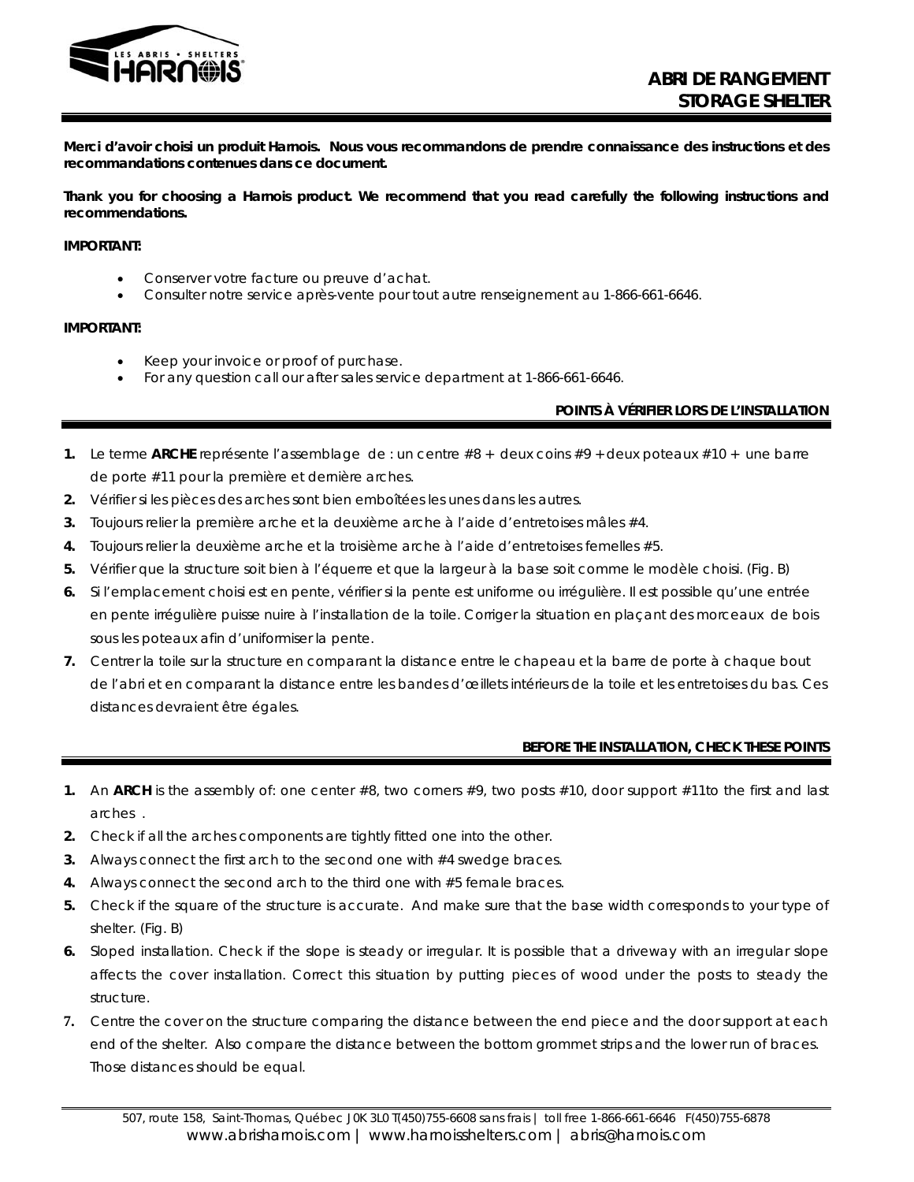

**Merci d'avoir choisi un produit Harnois. Nous vous recommandons de prendre connaissance des instructions et des recommandations contenues dans ce document.** 

**Thank you for choosing a Harnois product. We recommend that you read carefully the following instructions and recommendations.** 

**IMPORTANT:** 

- Conserver votre facture ou preuve d'achat.
- Consulter notre service après-vente pour tout autre renseignement au 1-866-661-6646.

**IMPORTANT:**

- Keep your invoice or proof of purchase.
- For any question call our after sales service department at 1-866-661-6646.

# **POINTS À VÉRIFIER LORS DE L'INSTALLATION**

- **1.** Le terme **ARCHE** représente l'assemblage de : un centre  $#8 +$  deux coins  $#9 +$  deux poteaux  $#10 +$  une barre de porte #11 pour la première et dernière arches.
- **2.** Vérifier si les pièces des arches sont bien emboîtées les unes dans les autres.
- **3.** Toujours relier la première arche et la deuxième arche à l'aide d'entretoises mâles #4.
- **4.** Toujours relier la deuxième arche et la troisième arche à l'aide d'entretoises femelles #5.
- **5.** Vérifier que la structure soit bien à l'équerre et que la largeur à la base soit comme le modèle choisi. (Fig. B)
- **6.** Si l'emplacement choisi est en pente, vérifier si la pente est uniforme ou irrégulière. Il est possible qu'une entrée en pente irrégulière puisse nuire à l'installation de la toile. Corriger la situation en plaçant des morceaux de bois sous les poteaux afin d'uniformiser la pente.
- **7.** Centrer la toile sur la structure en comparant la distance entre le chapeau et la barre de porte à chaque bout de l'abri et en comparant la distance entre les bandes d'œillets intérieurs de la toile et les entretoises du bas. Ces distances devraient être égales.

# **BEFORE THE INSTALLATION, CHECK THESE POINTS**

- **1.** An **ARCH** is the assembly of: one center #8, two corners #9, two posts #10, door support #11to the first and last arches .
- **2.** Check if all the arches components are tightly fitted one into the other.
- **3.** Always connect the first arch to the second one with #4 swedge braces.
- **4.** Always connect the second arch to the third one with #5 female braces.
- **5.** Check if the square of the structure is accurate. And make sure that the base width corresponds to your type of shelter. (Fig. B)
- **6.** Sloped installation. Check if the slope is steady or irregular. It is possible that a driveway with an irregular slope affects the cover installation. Correct this situation by putting pieces of wood under the posts to steady the structure.
- **7.** Centre the cover on the structure comparing the distance between the end piece and the door support at each end of the shelter. Also compare the distance between the bottom grommet strips and the lower run of braces. Those distances should be equal.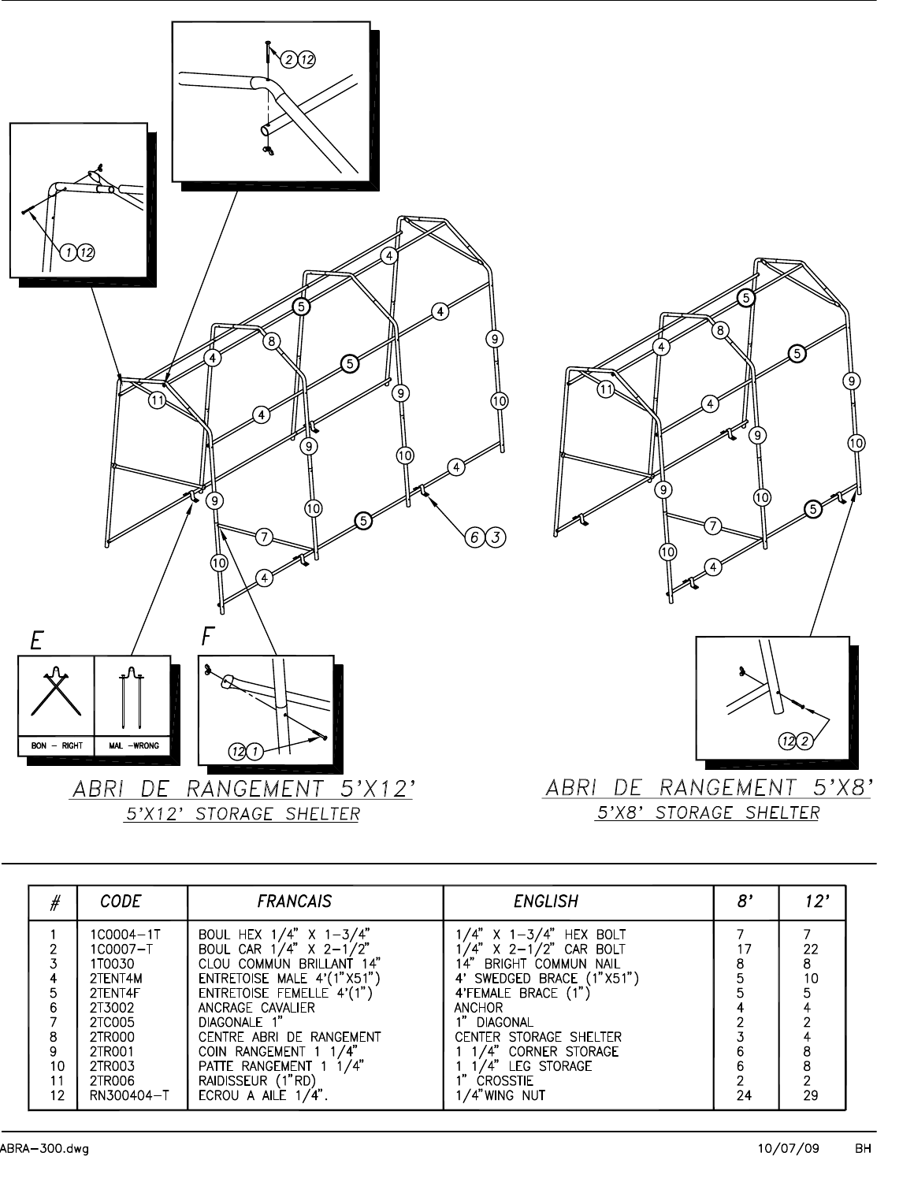



| #                  | <b>CODE</b>                                                                                                       | <b>FRANCAIS</b>                                                                                                                                                                                                                                                                          | <b>ENGLISH</b>                                                                                                                                                                                                                                       | 8' | 12'           |
|--------------------|-------------------------------------------------------------------------------------------------------------------|------------------------------------------------------------------------------------------------------------------------------------------------------------------------------------------------------------------------------------------------------------------------------------------|------------------------------------------------------------------------------------------------------------------------------------------------------------------------------------------------------------------------------------------------------|----|---------------|
| 6<br>8<br>10<br>11 | 1C0004-1T<br>1C0007-T<br>1T0030<br>2TENT4M<br>2TENT4F<br>2T3002<br>2TC005<br>2TR000<br>2TR001<br>2TR003<br>2TR006 | BOUL HEX $1/4$ " X $1-3/4$ "<br>BOUL CAR $1/4$ " X 2-1/2"<br>CLOU COMMUN BRILLANT 14"<br>ENTRETOISE MALE 4'(1"X51")<br>ENTRETOISE FEMELLE 4'(1")<br>ANCRAGE CAVALIER<br>DIAGONALE 1"<br>CENTRE ABRI DE RANGEMENT<br>COIN RANGEMENT 1 1/4"<br>PATTE RANGEMENT 1 1/4"<br>RAIDISSEUR (1"RD) | $/4$ " X 1-3/4" HEX BOLT<br>$74"$ X 2-1/2" CAR BOLT<br>14" BRIGHT COMMUN NAIL<br>4' SWEDGED BRACE (1"X51")<br>4'FEMALE BRACE (1")<br><b>ANCHOR</b><br>DIAGONAL<br>CENTER STORAGE SHELTER<br>/4" CORNER STORAGE<br>/4" LEG STORAGE<br><b>CROSSTIE</b> |    | 22<br>8<br>10 |
| 12                 | RN300404-T                                                                                                        | ECROU A AILE $1/4$ ".                                                                                                                                                                                                                                                                    | /4"WING NUT                                                                                                                                                                                                                                          | 24 | 29            |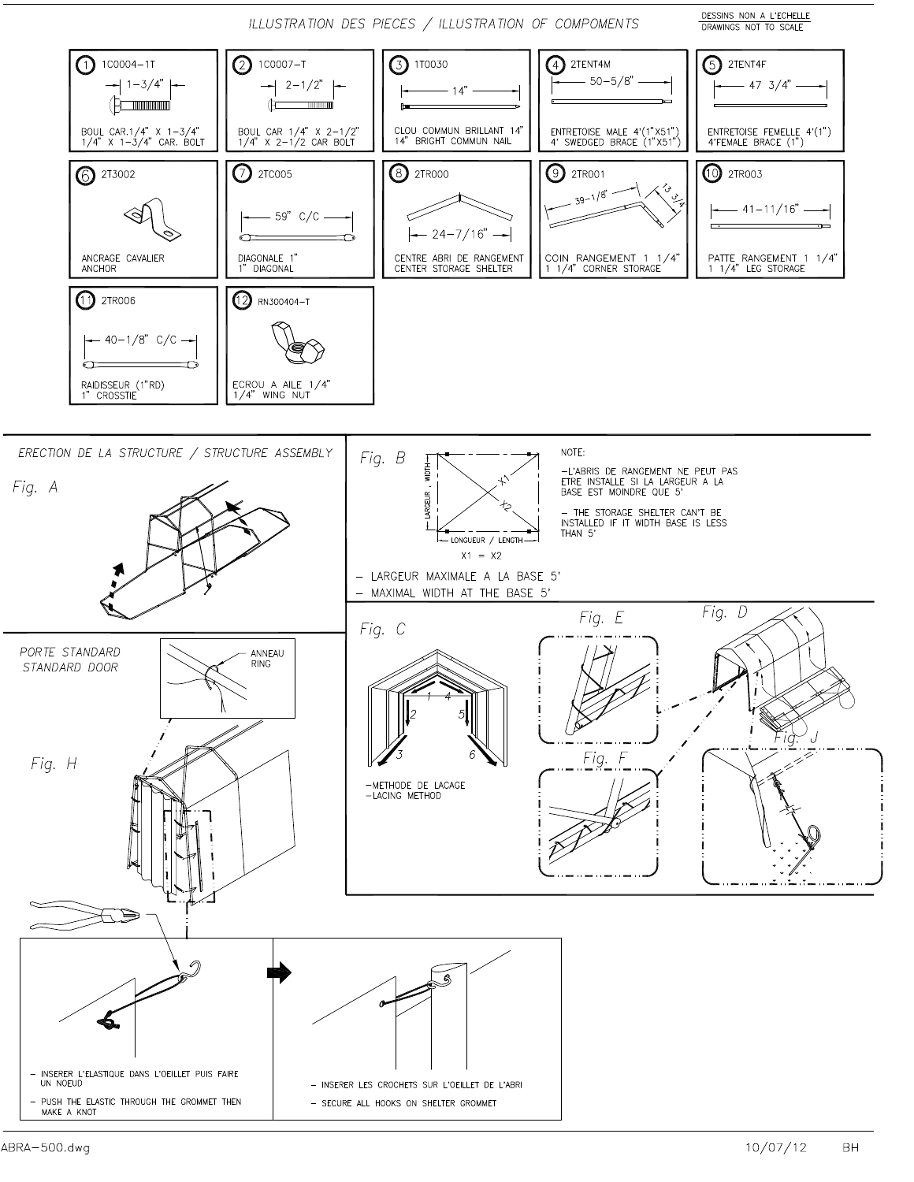